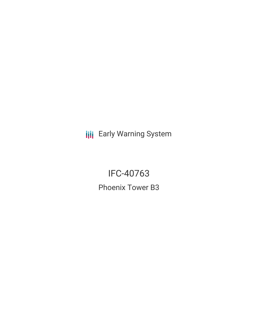**III** Early Warning System

IFC-40763 Phoenix Tower B3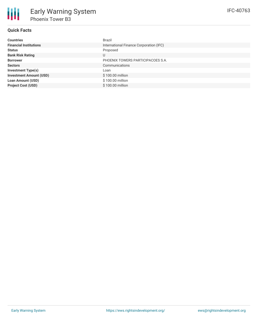## **Quick Facts**

朋

| <b>Countries</b>               | Brazil                                  |
|--------------------------------|-----------------------------------------|
| <b>Financial Institutions</b>  | International Finance Corporation (IFC) |
| <b>Status</b>                  | Proposed                                |
| <b>Bank Risk Rating</b>        | U                                       |
| <b>Borrower</b>                | PHOENIX TOWERS PARTICIPACOES S.A.       |
| <b>Sectors</b>                 | Communications                          |
| <b>Investment Type(s)</b>      | Loan                                    |
| <b>Investment Amount (USD)</b> | \$100.00 million                        |
| <b>Loan Amount (USD)</b>       | \$100.00 million                        |
| <b>Project Cost (USD)</b>      | \$100.00 million                        |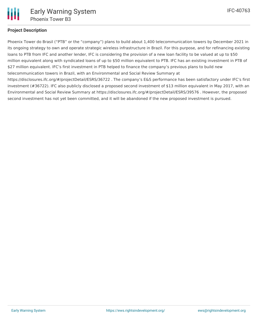

## **Project Description**

Phoenix Tower do Brasil ("PTB" or the "company") plans to build about 1,400 telecommunication towers by December 2021 in its ongoing strategy to own and operate strategic wireless infrastructure in Brazil. For this purpose, and for refinancing existing loans to PTB from IFC and another lender, IFC is considering the provision of a new loan facility to be valued at up to \$50 million equivalent along with syndicated loans of up to \$50 million equivalent to PTB. IFC has an existing investment in PTB of \$27 million equivalent. IFC's first investment in PTB helped to finance the company's previous plans to build new telecommunication towers in Brazil, with an Environmental and Social Review Summary at https://disclosures.ifc.org/#/projectDetail/ESRS/36722 . The company's E&S performance has been satisfactory under IFC's first investment (#36722). IFC also publicly disclosed a proposed second investment of \$13 million equivalent in May 2017, with an Environmental and Social Review Summary at https://disclosures.ifc.org/#/projectDetail/ESRS/39576 . However, the proposed second investment has not yet been committed, and it will be abandoned if the new proposed investment is pursued.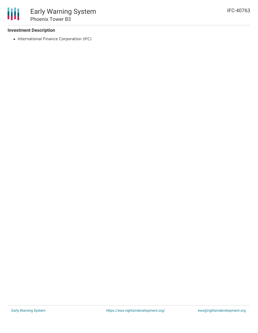## **Investment Description**

• International Finance Corporation (IFC)